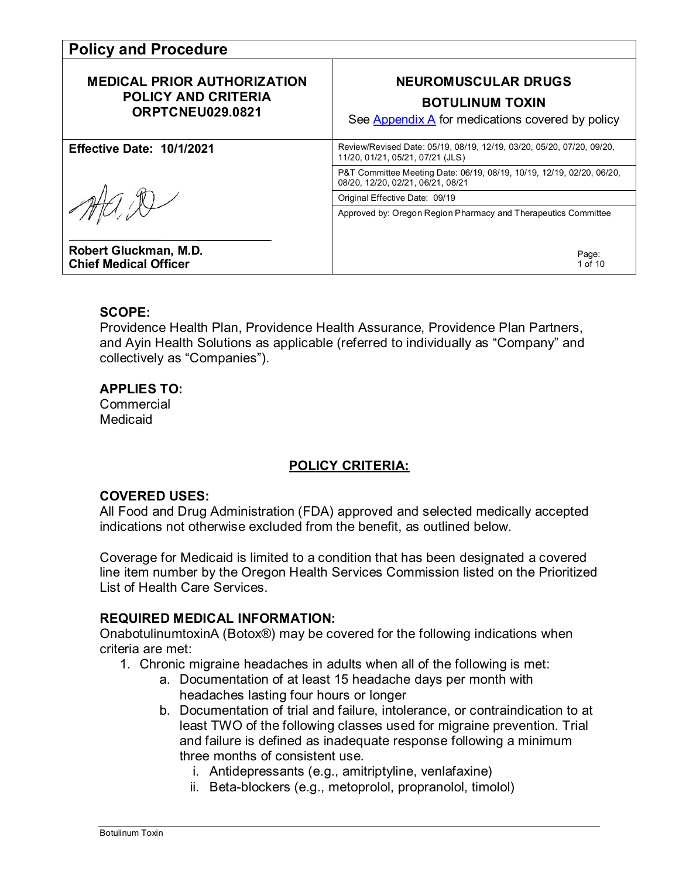| <b>Policy and Procedure</b>                                                          |                                                                                                                         |  |
|--------------------------------------------------------------------------------------|-------------------------------------------------------------------------------------------------------------------------|--|
| <b>MEDICAL PRIOR AUTHORIZATION</b><br><b>POLICY AND CRITERIA</b><br>ORPTCNEU029.0821 | <b>NEUROMUSCULAR DRUGS</b><br><b>BOTULINUM TOXIN</b><br>See $\Delta$ ppendix $\Delta$ for medications covered by policy |  |
| <b>Effective Date: 10/1/2021</b>                                                     | Review/Revised Date: 05/19, 08/19, 12/19, 03/20, 05/20, 07/20, 09/20,<br>11/20, 01/21, 05/21, 07/21 (JLS)               |  |
|                                                                                      | P&T Committee Meeting Date: 06/19, 08/19, 10/19, 12/19, 02/20, 06/20,<br>08/20, 12/20, 02/21, 06/21, 08/21              |  |
|                                                                                      | Original Effective Date: 09/19                                                                                          |  |
|                                                                                      | Approved by: Oregon Region Pharmacy and Therapeutics Committee                                                          |  |
| Robert Gluckman, M.D.<br><b>Chief Medical Officer</b>                                | Page:<br>1 of 10                                                                                                        |  |

#### **SCOPE:**

Providence Health Plan, Providence Health Assurance, Providence Plan Partners, and Ayin Health Solutions as applicable (referred to individually as "Company" and collectively as "Companies").

#### **APPLIES TO:**

**Commercial** Medicaid

### **POLICY CRITERIA:**

#### **COVERED USES:**

All Food and Drug Administration (FDA) approved and selected medically accepted indications not otherwise excluded from the benefit, as outlined below.

Coverage for Medicaid is limited to a condition that has been designated a covered line item number by the Oregon Health Services Commission listed on the Prioritized List of Health Care Services.

#### **REQUIRED MEDICAL INFORMATION:**

OnabotulinumtoxinA (Botox®) may be covered for the following indications when criteria are met:

- 1. Chronic migraine headaches in adults when all of the following is met:
	- a. Documentation of at least 15 headache days per month with headaches lasting four hours or longer
	- b. Documentation of trial and failure, intolerance, or contraindication to at least TWO of the following classes used for migraine prevention. Trial and failure is defined as inadequate response following a minimum three months of consistent use.
		- i. Antidepressants (e.g., amitriptyline, venlafaxine)
		- ii. Beta-blockers (e.g., metoprolol, propranolol, timolol)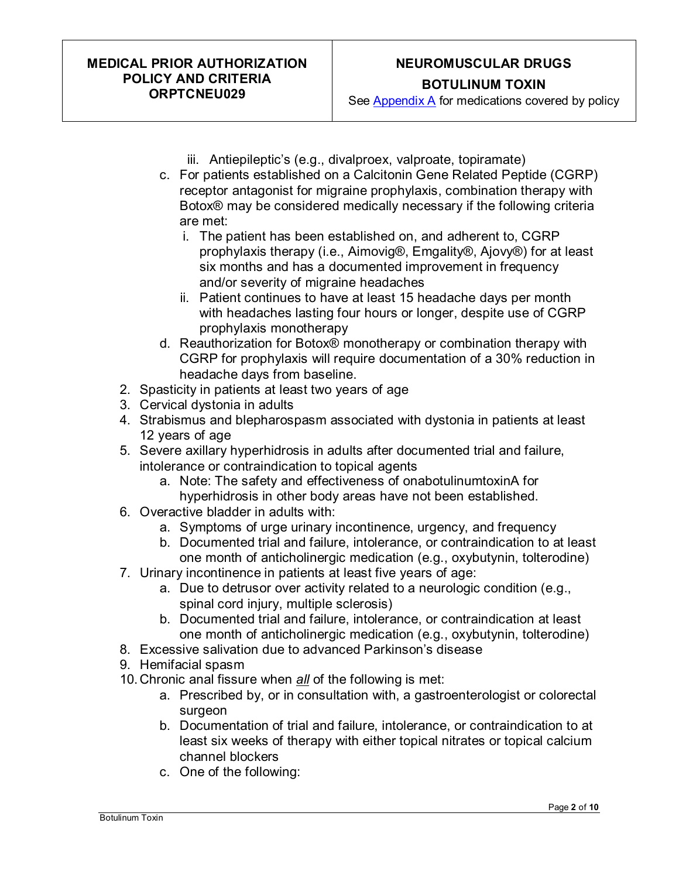# **NEUROMUSCULAR DRUGS BOTULINUM TOXIN**

See [Appendix A](#page-9-0) for medications covered by policy

- iii. Antiepileptic's (e.g., divalproex, valproate, topiramate)
- c. For patients established on a Calcitonin Gene Related Peptide (CGRP) receptor antagonist for migraine prophylaxis, combination therapy with Botox® may be considered medically necessary if the following criteria are met:
	- i. The patient has been established on, and adherent to, CGRP prophylaxis therapy (i.e., Aimovig®, Emgality®, Ajovy®) for at least six months and has a documented improvement in frequency and/or severity of migraine headaches
	- ii. Patient continues to have at least 15 headache days per month with headaches lasting four hours or longer, despite use of CGRP prophylaxis monotherapy
- d. Reauthorization for Botox® monotherapy or combination therapy with CGRP for prophylaxis will require documentation of a 30% reduction in headache days from baseline.
- 2. Spasticity in patients at least two years of age
- 3. Cervical dystonia in adults
- 4. Strabismus and blepharospasm associated with dystonia in patients at least 12 years of age
- 5. Severe axillary hyperhidrosis in adults after documented trial and failure, intolerance or contraindication to topical agents
	- a. Note: The safety and effectiveness of onabotulinumtoxinA for hyperhidrosis in other body areas have not been established.
- 6. Overactive bladder in adults with:
	- a. Symptoms of urge urinary incontinence, urgency, and frequency
	- b. Documented trial and failure, intolerance, or contraindication to at least one month of anticholinergic medication (e.g., oxybutynin, tolterodine)
- 7. Urinary incontinence in patients at least five years of age:
	- a. Due to detrusor over activity related to a neurologic condition (e.g., spinal cord injury, multiple sclerosis)
	- b. Documented trial and failure, intolerance, or contraindication at least one month of anticholinergic medication (e.g., oxybutynin, tolterodine)
- 8. Excessive salivation due to advanced Parkinson's disease
- 9. Hemifacial spasm
- 10. Chronic anal fissure when *all* of the following is met:
	- a. Prescribed by, or in consultation with, a gastroenterologist or colorectal surgeon
	- b. Documentation of trial and failure, intolerance, or contraindication to at least six weeks of therapy with either topical nitrates or topical calcium channel blockers
	- c. One of the following: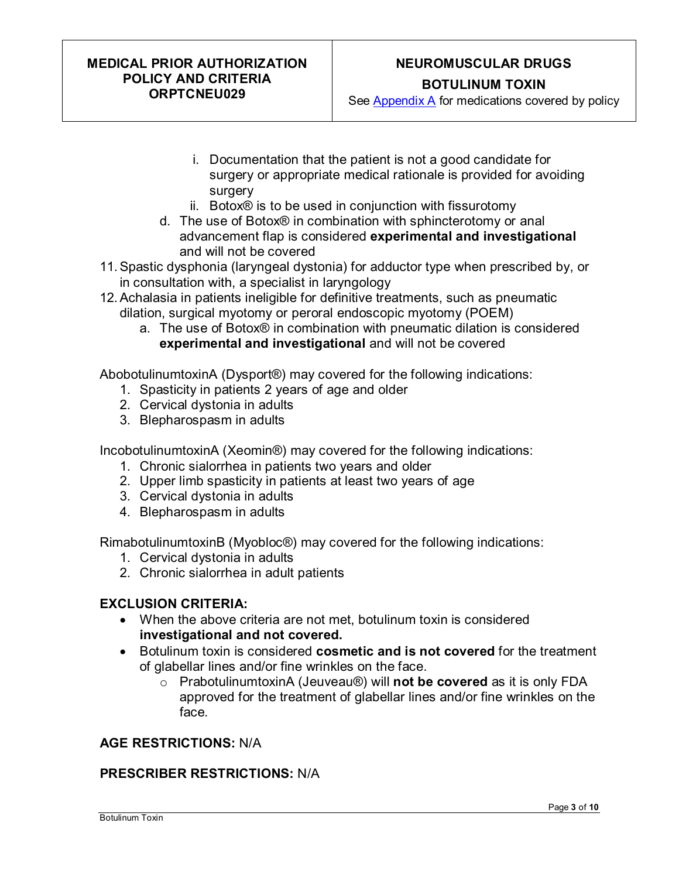# **NEUROMUSCULAR DRUGS BOTULINUM TOXIN**

See [Appendix A](#page-9-0) for medications covered by policy

- i. Documentation that the patient is not a good candidate for surgery or appropriate medical rationale is provided for avoiding surgery
- ii. Botox® is to be used in conjunction with fissurotomy
- d. The use of Botox® in combination with sphincterotomy or anal advancement flap is considered **experimental and investigational** and will not be covered
- 11.Spastic dysphonia (laryngeal dystonia) for adductor type when prescribed by, or in consultation with, a specialist in laryngology
- 12.Achalasia in patients ineligible for definitive treatments, such as pneumatic dilation, surgical myotomy or peroral endoscopic myotomy (POEM)
	- a. The use of Botox® in combination with pneumatic dilation is considered **experimental and investigational** and will not be covered

AbobotulinumtoxinA (Dysport®) may covered for the following indications:

- 1. Spasticity in patients 2 years of age and older
- 2. Cervical dystonia in adults
- 3. Blepharospasm in adults

IncobotulinumtoxinA (Xeomin®) may covered for the following indications:

- 1. Chronic sialorrhea in patients two years and older
- 2. Upper limb spasticity in patients at least two years of age
- 3. Cervical dystonia in adults
- 4. Blepharospasm in adults

RimabotulinumtoxinB (Myobloc®) may covered for the following indications:

- 1. Cervical dystonia in adults
- 2. Chronic sialorrhea in adult patients

#### **EXCLUSION CRITERIA:**

- When the above criteria are not met, botulinum toxin is considered **investigational and not covered.**
- Botulinum toxin is considered **cosmetic and is not covered** for the treatment of glabellar lines and/or fine wrinkles on the face.
	- o PrabotulinumtoxinA (Jeuveau®) will **not be covered** as it is only FDA approved for the treatment of glabellar lines and/or fine wrinkles on the face.

#### **AGE RESTRICTIONS:** N/A

#### **PRESCRIBER RESTRICTIONS:** N/A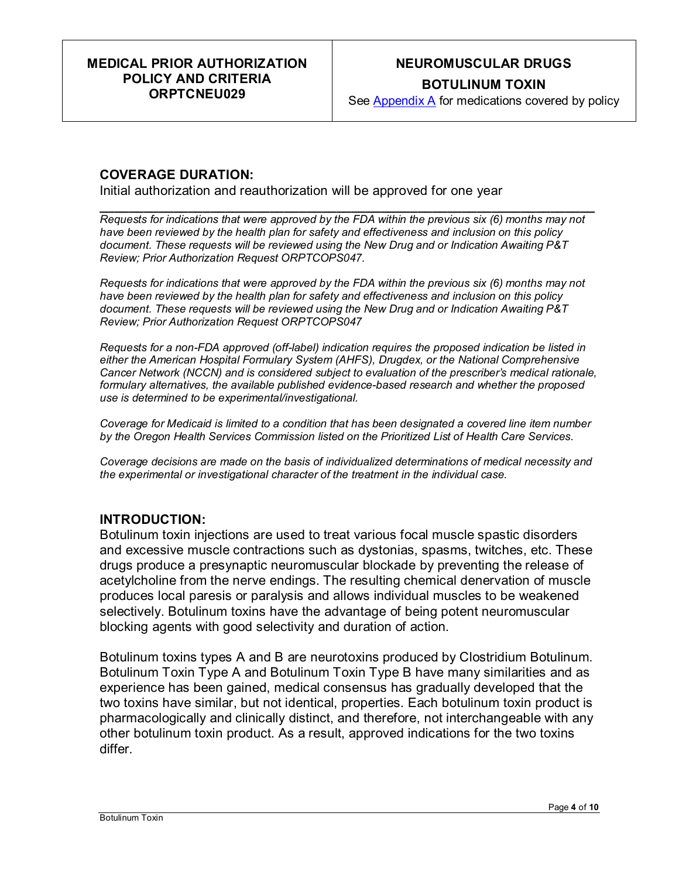# **NEUROMUSCULAR DRUGS BOTULINUM TOXIN**

See [Appendix A](#page-9-0) for medications covered by policy

#### **COVERAGE DURATION:**

Initial authorization and reauthorization will be approved for one year

**\_\_\_\_\_\_\_\_\_\_\_\_\_\_\_\_\_\_\_\_\_\_\_\_\_\_\_\_\_\_\_\_\_\_\_\_\_\_\_\_\_\_\_\_\_\_\_\_\_\_\_\_\_\_\_\_\_\_\_\_\_\_\_\_\_\_\_** *Requests for indications that were approved by the FDA within the previous six (6) months may not have been reviewed by the health plan for safety and effectiveness and inclusion on this policy document. These requests will be reviewed using the New Drug and or Indication Awaiting P&T Review; Prior Authorization Request ORPTCOPS047.*

*Requests for indications that were approved by the FDA within the previous six (6) months may not have been reviewed by the health plan for safety and effectiveness and inclusion on this policy document. These requests will be reviewed using the New Drug and or Indication Awaiting P&T Review; Prior Authorization Request ORPTCOPS047*

*Requests for a non-FDA approved (off-label) indication requires the proposed indication be listed in either the American Hospital Formulary System (AHFS), Drugdex, or the National Comprehensive Cancer Network (NCCN) and is considered subject to evaluation of the prescriber's medical rationale, formulary alternatives, the available published evidence-based research and whether the proposed use is determined to be experimental/investigational.* 

*Coverage for Medicaid is limited to a condition that has been designated a covered line item number by the Oregon Health Services Commission listed on the Prioritized List of Health Care Services.*

*Coverage decisions are made on the basis of individualized determinations of medical necessity and the experimental or investigational character of the treatment in the individual case.*

#### **INTRODUCTION:**

Botulinum toxin injections are used to treat various focal muscle spastic disorders and excessive muscle contractions such as dystonias, spasms, twitches, etc. These drugs produce a presynaptic neuromuscular blockade by preventing the release of acetylcholine from the nerve endings. The resulting chemical denervation of muscle produces local paresis or paralysis and allows individual muscles to be weakened selectively. Botulinum toxins have the advantage of being potent neuromuscular blocking agents with good selectivity and duration of action.

Botulinum toxins types A and B are neurotoxins produced by Clostridium Botulinum. Botulinum Toxin Type A and Botulinum Toxin Type B have many similarities and as experience has been gained, medical consensus has gradually developed that the two toxins have similar, but not identical, properties. Each botulinum toxin product is pharmacologically and clinically distinct, and therefore, not interchangeable with any other botulinum toxin product. As a result, approved indications for the two toxins differ.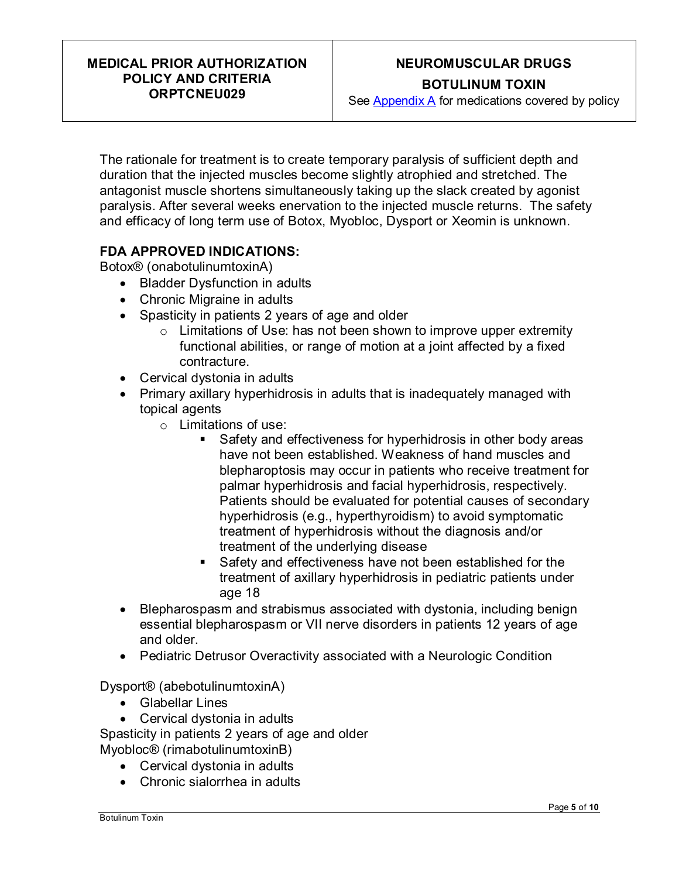# **NEUROMUSCULAR DRUGS BOTULINUM TOXIN**

See [Appendix A](#page-9-0) for medications covered by policy

The rationale for treatment is to create temporary paralysis of sufficient depth and duration that the injected muscles become slightly atrophied and stretched. The antagonist muscle shortens simultaneously taking up the slack created by agonist paralysis. After several weeks enervation to the injected muscle returns. The safety and efficacy of long term use of Botox, Myobloc, Dysport or Xeomin is unknown.

#### **FDA APPROVED INDICATIONS:**

Botox® (onabotulinumtoxinA)

- Bladder Dysfunction in adults
- Chronic Migraine in adults
- Spasticity in patients 2 years of age and older
	- $\circ$  Limitations of Use: has not been shown to improve upper extremity functional abilities, or range of motion at a joint affected by a fixed contracture.
- Cervical dystonia in adults
- Primary axillary hyperhidrosis in adults that is inadequately managed with topical agents
	- $\circ$  Limitations of use:
		- Safety and effectiveness for hyperhidrosis in other body areas have not been established. Weakness of hand muscles and blepharoptosis may occur in patients who receive treatment for palmar hyperhidrosis and facial hyperhidrosis, respectively. Patients should be evaluated for potential causes of secondary hyperhidrosis (e.g., hyperthyroidism) to avoid symptomatic treatment of hyperhidrosis without the diagnosis and/or treatment of the underlying disease
		- Safety and effectiveness have not been established for the treatment of axillary hyperhidrosis in pediatric patients under age 18
- Blepharospasm and strabismus associated with dystonia, including benign essential blepharospasm or VII nerve disorders in patients 12 years of age and older.
- Pediatric Detrusor Overactivity associated with a Neurologic Condition

Dysport® (abebotulinumtoxinA)

- Glabellar Lines
- Cervical dystonia in adults

Spasticity in patients 2 years of age and older Myobloc® (rimabotulinumtoxinB)

- Cervical dystonia in adults
- Chronic sialorrhea in adults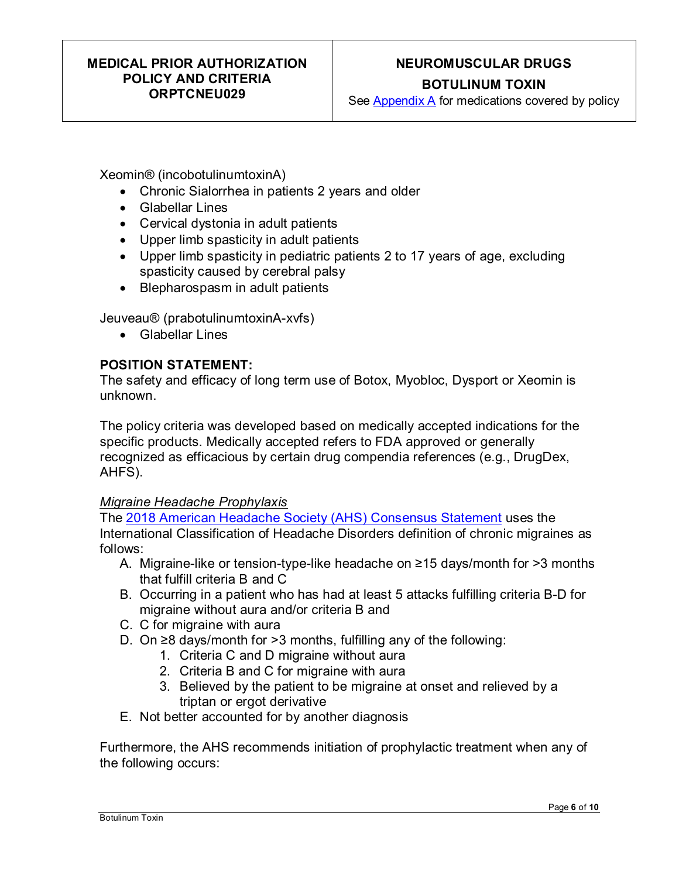# **NEUROMUSCULAR DRUGS**

**BOTULINUM TOXIN**

See [Appendix A](#page-9-0) for medications covered by policy

Xeomin® (incobotulinumtoxinA)

- Chronic Sialorrhea in patients 2 years and older
- Glabellar Lines
- Cervical dystonia in adult patients
- Upper limb spasticity in adult patients
- Upper limb spasticity in pediatric patients 2 to 17 years of age, excluding spasticity caused by cerebral palsy
- Blepharospasm in adult patients

Jeuveau® (prabotulinumtoxinA-xvfs)

• Glabellar Lines

#### **POSITION STATEMENT:**

The safety and efficacy of long term use of Botox, Myobloc, Dysport or Xeomin is unknown.

The policy criteria was developed based on medically accepted indications for the specific products. Medically accepted refers to FDA approved or generally recognized as efficacious by certain drug compendia references (e.g., DrugDex, AHFS).

#### *Migraine Headache Prophylaxis*

The [2018 American Headache Society \(AHS\) Consensus Statement](https://headachejournal.onlinelibrary.wiley.com/doi/epdf/10.1111/head.13456) uses the International Classification of Headache Disorders definition of chronic migraines as follows:

- A. Migraine-like or tension-type-like headache on ≥15 days/month for >3 months that fulfill criteria B and C
- B. Occurring in a patient who has had at least 5 attacks fulfilling criteria B-D for migraine without aura and/or criteria B and
- C. C for migraine with aura
- D. On ≥8 days/month for >3 months, fulfilling any of the following:
	- 1. Criteria C and D migraine without aura
	- 2. Criteria B and C for migraine with aura
	- 3. Believed by the patient to be migraine at onset and relieved by a triptan or ergot derivative
- E. Not better accounted for by another diagnosis

Furthermore, the AHS recommends initiation of prophylactic treatment when any of the following occurs: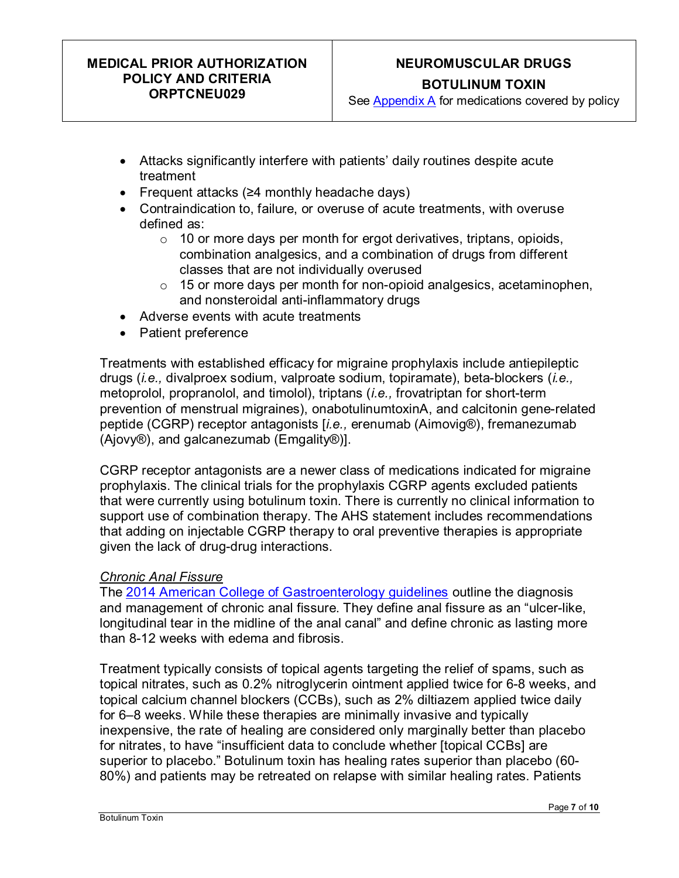# **NEUROMUSCULAR DRUGS BOTULINUM TOXIN**

See [Appendix A](#page-9-0) for medications covered by policy

- Attacks significantly interfere with patients' daily routines despite acute treatment
- Frequent attacks (≥4 monthly headache days)
- Contraindication to, failure, or overuse of acute treatments, with overuse defined as:
	- $\circ$  10 or more days per month for ergot derivatives, triptans, opioids, combination analgesics, and a combination of drugs from different classes that are not individually overused
	- $\circ$  15 or more days per month for non-opioid analgesics, acetaminophen, and nonsteroidal anti-inflammatory drugs
- Adverse events with acute treatments
- Patient preference

Treatments with established efficacy for migraine prophylaxis include antiepileptic drugs (*i.e.,* divalproex sodium, valproate sodium, topiramate), beta-blockers (*i.e.,* metoprolol, propranolol, and timolol), triptans (*i.e.,* frovatriptan for short-term prevention of menstrual migraines), onabotulinumtoxinA, and calcitonin gene-related peptide (CGRP) receptor antagonists [*i.e.,* erenumab (Aimovig®), fremanezumab (Ajovy®), and galcanezumab (Emgality®)].

CGRP receptor antagonists are a newer class of medications indicated for migraine prophylaxis. The clinical trials for the prophylaxis CGRP agents excluded patients that were currently using botulinum toxin. There is currently no clinical information to support use of combination therapy. The AHS statement includes recommendations that adding on injectable CGRP therapy to oral preventive therapies is appropriate given the lack of drug-drug interactions.

#### *Chronic Anal Fissure*

The [2014 American College of Gastroenterology guidelines](https://journals.lww.com/ajg/Fulltext/2014/08000/ACG_Clinical_Guideline__Management_of_Benign.7.aspx) outline the diagnosis and management of chronic anal fissure. They define anal fissure as an "ulcer-like, longitudinal tear in the midline of the anal canal" and define chronic as lasting more than 8-12 weeks with edema and fibrosis.

Treatment typically consists of topical agents targeting the relief of spams, such as topical nitrates, such as 0.2% nitroglycerin ointment applied twice for 6-8 weeks, and topical calcium channel blockers (CCBs), such as 2% diltiazem applied twice daily for 6–8 weeks. While these therapies are minimally invasive and typically inexpensive, the rate of healing are considered only marginally better than placebo for nitrates, to have "insufficient data to conclude whether [topical CCBs] are superior to placebo." Botulinum toxin has healing rates superior than placebo (60- 80%) and patients may be retreated on relapse with similar healing rates. Patients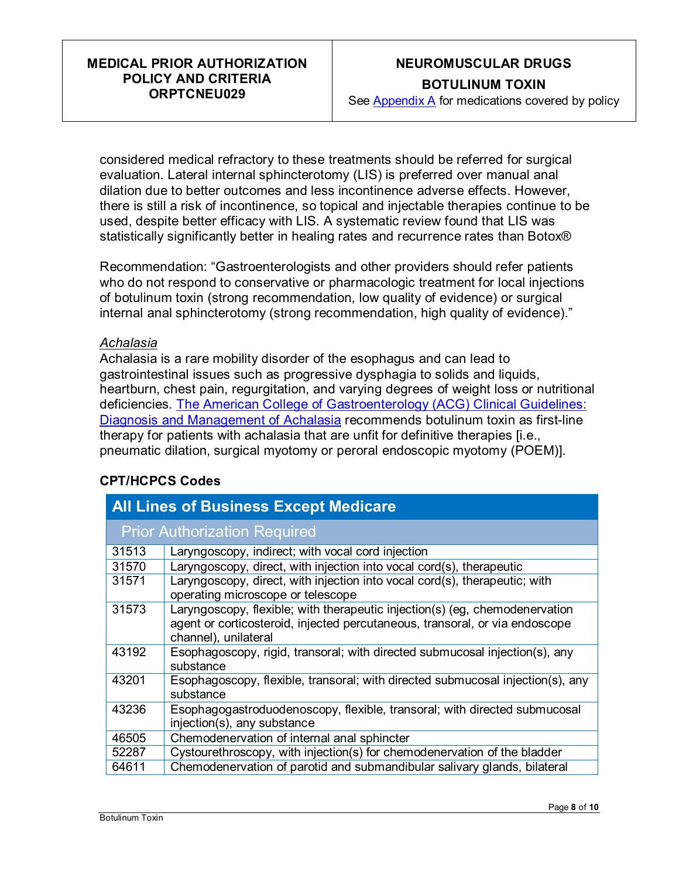# **NEUROMUSCULAR DRUGS BOTULINUM TOXIN**

See [Appendix A](#page-9-0) for medications covered by policy

considered medical refractory to these treatments should be referred for surgical evaluation. Lateral internal sphincterotomy (LIS) is preferred over manual anal dilation due to better outcomes and less incontinence adverse effects. However, there is still a risk of incontinence, so topical and injectable therapies continue to be used, despite better efficacy with LIS. A systematic review found that LIS was statistically significantly better in healing rates and recurrence rates than Botox®

Recommendation: "Gastroenterologists and other providers should refer patients who do not respond to conservative or pharmacologic treatment for local injections of botulinum toxin (strong recommendation, low quality of evidence) or surgical internal anal sphincterotomy (strong recommendation, high quality of evidence)."

#### *Achalasia*

Achalasia is a rare mobility disorder of the esophagus and can lead to gastrointestinal issues such as progressive dysphagia to solids and liquids, heartburn, chest pain, regurgitation, and varying degrees of weight loss or nutritional deficiencies. [The American College of Gastroenterology \(ACG\) Clinical Guidelines:](https://journals.lww.com/ajg/Fulltext/2020/09000/ACG_Clinical_Guidelines__Diagnosis_and_Management.18.aspx)  [Diagnosis and Management of Achalasia](https://journals.lww.com/ajg/Fulltext/2020/09000/ACG_Clinical_Guidelines__Diagnosis_and_Management.18.aspx) recommends botulinum toxin as first-line therapy for patients with achalasia that are unfit for definitive therapies [i.e., pneumatic dilation, surgical myotomy or peroral endoscopic myotomy (POEM)].

#### **CPT/HCPCS Codes**

| <b>All Lines of Business Except Medicare</b> |                                                                                                                                                                                    |  |
|----------------------------------------------|------------------------------------------------------------------------------------------------------------------------------------------------------------------------------------|--|
| <b>Prior Authorization Required</b>          |                                                                                                                                                                                    |  |
| 31513                                        | Laryngoscopy, indirect; with vocal cord injection                                                                                                                                  |  |
| 31570                                        | Laryngoscopy, direct, with injection into vocal cord(s), therapeutic                                                                                                               |  |
| 31571                                        | Laryngoscopy, direct, with injection into vocal cord(s), therapeutic; with<br>operating microscope or telescope                                                                    |  |
| 31573                                        | Laryngoscopy, flexible; with therapeutic injection(s) (eg, chemodenervation<br>agent or corticosteroid, injected percutaneous, transoral, or via endoscope<br>channel), unilateral |  |
| 43192                                        | Esophagoscopy, rigid, transoral; with directed submucosal injection(s), any<br>substance                                                                                           |  |
| 43201                                        | Esophagoscopy, flexible, transoral; with directed submucosal injection(s), any<br>substance                                                                                        |  |
| 43236                                        | Esophagogastroduodenoscopy, flexible, transoral; with directed submucosal<br>injection(s), any substance                                                                           |  |
| 46505                                        | Chemodenervation of internal anal sphincter                                                                                                                                        |  |
| 52287                                        | Cystourethroscopy, with injection(s) for chemodenervation of the bladder                                                                                                           |  |
| 64611                                        | Chemodenervation of parotid and submandibular salivary glands, bilateral                                                                                                           |  |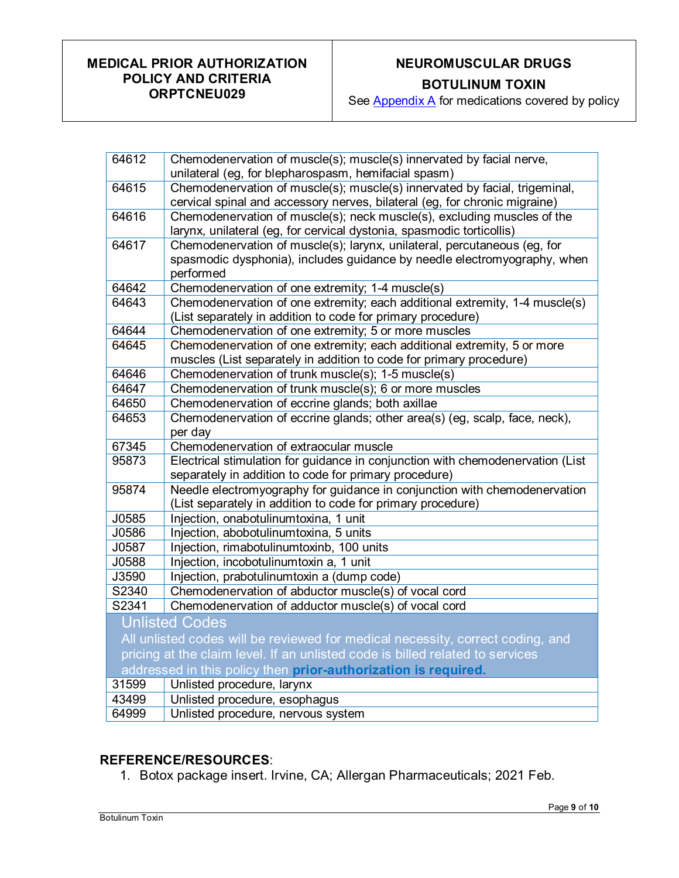# **NEUROMUSCULAR DRUGS**

**BOTULINUM TOXIN**

See **Appendix A** for medications covered by policy

| 64612                                                                          | Chemodenervation of muscle(s); muscle(s) innervated by facial nerve,<br>unilateral (eg, for blepharospasm, hemifacial spasm)                                      |  |
|--------------------------------------------------------------------------------|-------------------------------------------------------------------------------------------------------------------------------------------------------------------|--|
| 64615                                                                          | Chemodenervation of muscle(s); muscle(s) innervated by facial, trigeminal,<br>cervical spinal and accessory nerves, bilateral (eg, for chronic migraine)          |  |
| 64616                                                                          | Chemodenervation of muscle(s); neck muscle(s), excluding muscles of the<br>larynx, unilateral (eg, for cervical dystonia, spasmodic torticollis)                  |  |
| 64617                                                                          | Chemodenervation of muscle(s); larynx, unilateral, percutaneous (eg, for<br>spasmodic dysphonia), includes guidance by needle electromyography, when<br>performed |  |
| 64642                                                                          | Chemodenervation of one extremity; 1-4 muscle(s)                                                                                                                  |  |
| 64643                                                                          | Chemodenervation of one extremity; each additional extremity, 1-4 muscle(s)<br>(List separately in addition to code for primary procedure)                        |  |
| 64644                                                                          | Chemodenervation of one extremity; 5 or more muscles                                                                                                              |  |
| 64645                                                                          | Chemodenervation of one extremity; each additional extremity, 5 or more                                                                                           |  |
|                                                                                | muscles (List separately in addition to code for primary procedure)                                                                                               |  |
| 64646                                                                          | Chemodenervation of trunk muscle(s); 1-5 muscle(s)                                                                                                                |  |
| 64647                                                                          | Chemodenervation of trunk muscle(s); 6 or more muscles                                                                                                            |  |
| 64650                                                                          | Chemodenervation of eccrine glands; both axillae                                                                                                                  |  |
| 64653                                                                          | Chemodenervation of eccrine glands; other area(s) (eg, scalp, face, neck),<br>per day                                                                             |  |
| 67345                                                                          | Chemodenervation of extraocular muscle                                                                                                                            |  |
| 95873                                                                          | Electrical stimulation for guidance in conjunction with chemodenervation (List<br>separately in addition to code for primary procedure)                           |  |
| 95874                                                                          | Needle electromyography for guidance in conjunction with chemodenervation<br>(List separately in addition to code for primary procedure)                          |  |
| J0585                                                                          | Injection, onabotulinumtoxina, 1 unit                                                                                                                             |  |
| J0586                                                                          | Injection, abobotulinumtoxina, 5 units                                                                                                                            |  |
| J0587                                                                          | Injection, rimabotulinumtoxinb, 100 units                                                                                                                         |  |
| J0588                                                                          | Injection, incobotulinumtoxin a, 1 unit                                                                                                                           |  |
| J3590                                                                          | Injection, prabotulinumtoxin a (dump code)                                                                                                                        |  |
| S2340                                                                          | Chemodenervation of abductor muscle(s) of vocal cord                                                                                                              |  |
| S2341                                                                          | Chemodenervation of adductor muscle(s) of vocal cord                                                                                                              |  |
| <b>Unlisted Codes</b>                                                          |                                                                                                                                                                   |  |
| All unlisted codes will be reviewed for medical necessity, correct coding, and |                                                                                                                                                                   |  |
| pricing at the claim level. If an unlisted code is billed related to services  |                                                                                                                                                                   |  |
| addressed in this policy then prior-authorization is required.                 |                                                                                                                                                                   |  |
| 31599                                                                          | Unlisted procedure, larynx                                                                                                                                        |  |
| 43499                                                                          | Unlisted procedure, esophagus                                                                                                                                     |  |
| 64999                                                                          | Unlisted procedure, nervous system                                                                                                                                |  |

#### **REFERENCE/RESOURCES**:

1. Botox package insert. Irvine, CA; Allergan Pharmaceuticals; 2021 Feb.